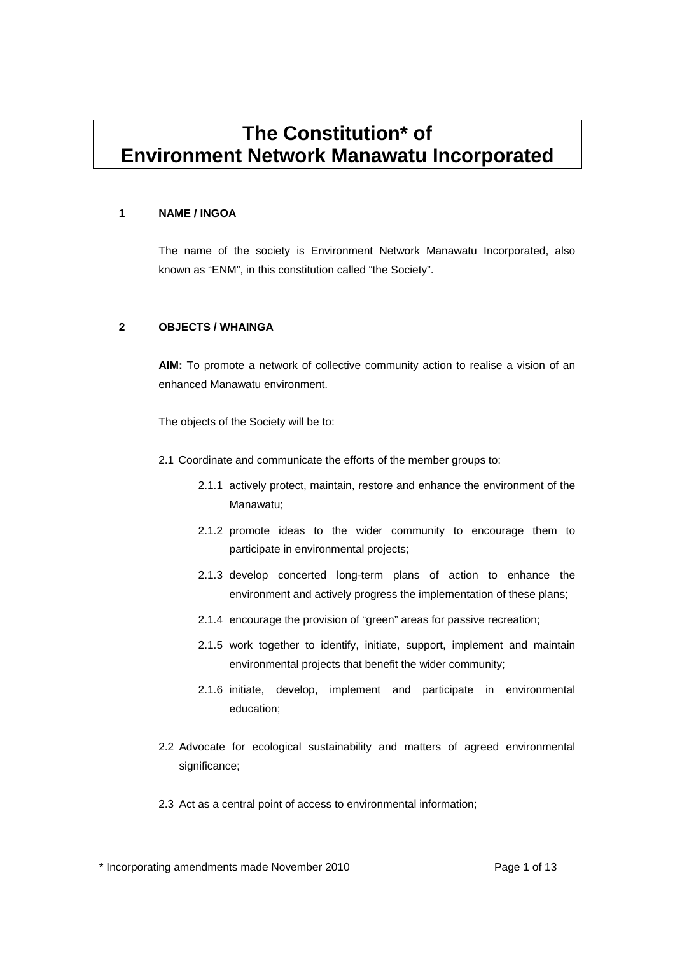# **The Constitution\* of Environment Network Manawatu Incorporated**

#### **1 NAME / INGOA**

The name of the society is Environment Network Manawatu Incorporated, also known as "ENM", in this constitution called "the Society".

#### **2 OBJECTS / WHAINGA**

**AIM:** To promote a network of collective community action to realise a vision of an enhanced Manawatu environment.

The objects of the Society will be to:

- 2.1 Coordinate and communicate the efforts of the member groups to:
	- 2.1.1 actively protect, maintain, restore and enhance the environment of the Manawatu;
	- 2.1.2 promote ideas to the wider community to encourage them to participate in environmental projects;
	- 2.1.3 develop concerted long-term plans of action to enhance the environment and actively progress the implementation of these plans;
	- 2.1.4 encourage the provision of "green" areas for passive recreation;
	- 2.1.5 work together to identify, initiate, support, implement and maintain environmental projects that benefit the wider community;
	- 2.1.6 initiate, develop, implement and participate in environmental education;
- 2.2 Advocate for ecological sustainability and matters of agreed environmental significance;
- 2.3 Act as a central point of access to environmental information;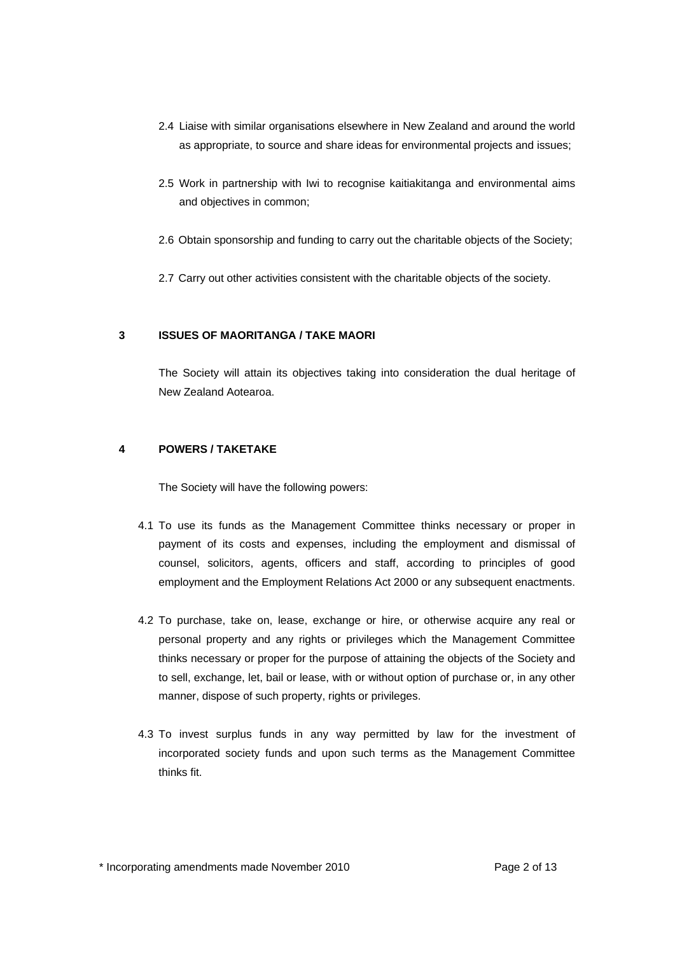- 2.4 Liaise with similar organisations elsewhere in New Zealand and around the world as appropriate, to source and share ideas for environmental projects and issues;
- 2.5 Work in partnership with Iwi to recognise kaitiakitanga and environmental aims and objectives in common;
- 2.6 Obtain sponsorship and funding to carry out the charitable objects of the Society;
- 2.7 Carry out other activities consistent with the charitable objects of the society.

### **3 ISSUES OF MAORITANGA / TAKE MAORI**

The Society will attain its objectives taking into consideration the dual heritage of New Zealand Aotearoa.

#### **4 POWERS / TAKETAKE**

The Society will have the following powers:

- 4.1 To use its funds as the Management Committee thinks necessary or proper in payment of its costs and expenses, including the employment and dismissal of counsel, solicitors, agents, officers and staff, according to principles of good employment and the Employment Relations Act 2000 or any subsequent enactments.
- 4.2 To purchase, take on, lease, exchange or hire, or otherwise acquire any real or personal property and any rights or privileges which the Management Committee thinks necessary or proper for the purpose of attaining the objects of the Society and to sell, exchange, let, bail or lease, with or without option of purchase or, in any other manner, dispose of such property, rights or privileges.
- 4.3 To invest surplus funds in any way permitted by law for the investment of incorporated society funds and upon such terms as the Management Committee thinks fit.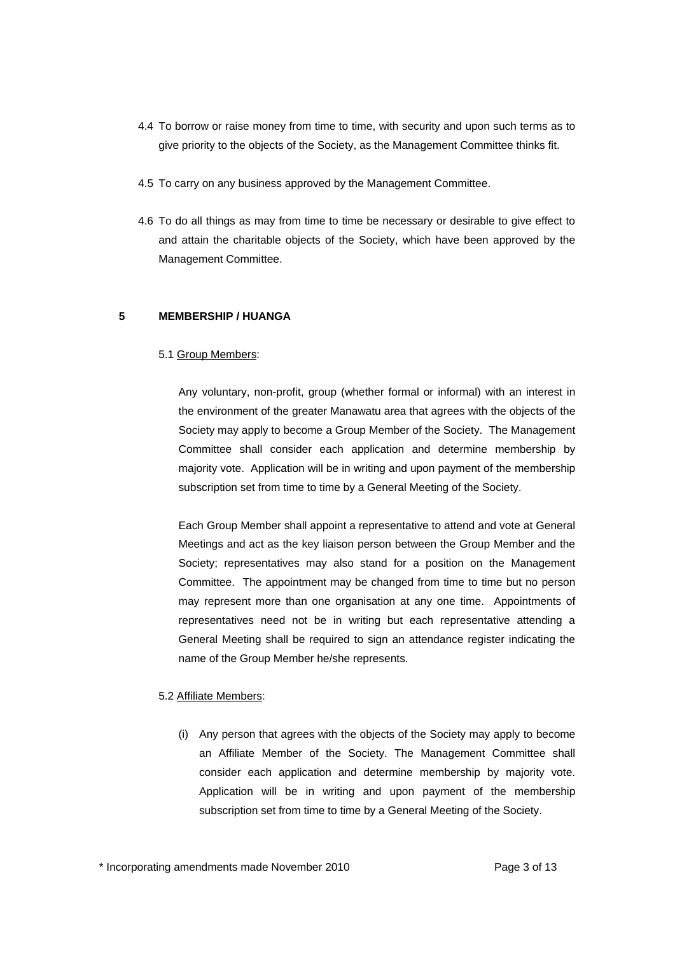- 4.4 To borrow or raise money from time to time, with security and upon such terms as to give priority to the objects of the Society, as the Management Committee thinks fit.
- 4.5 To carry on any business approved by the Management Committee.
- 4.6 To do all things as may from time to time be necessary or desirable to give effect to and attain the charitable objects of the Society, which have been approved by the Management Committee.

#### **5 MEMBERSHIP / HUANGA**

#### 5.1 Group Members:

Any voluntary, non-profit, group (whether formal or informal) with an interest in the environment of the greater Manawatu area that agrees with the objects of the Society may apply to become a Group Member of the Society. The Management Committee shall consider each application and determine membership by majority vote. Application will be in writing and upon payment of the membership subscription set from time to time by a General Meeting of the Society.

Each Group Member shall appoint a representative to attend and vote at General Meetings and act as the key liaison person between the Group Member and the Society; representatives may also stand for a position on the Management Committee. The appointment may be changed from time to time but no person may represent more than one organisation at any one time. Appointments of representatives need not be in writing but each representative attending a General Meeting shall be required to sign an attendance register indicating the name of the Group Member he/she represents.

#### 5.2 Affiliate Members:

(i) Any person that agrees with the objects of the Society may apply to become an Affiliate Member of the Society. The Management Committee shall consider each application and determine membership by majority vote. Application will be in writing and upon payment of the membership subscription set from time to time by a General Meeting of the Society.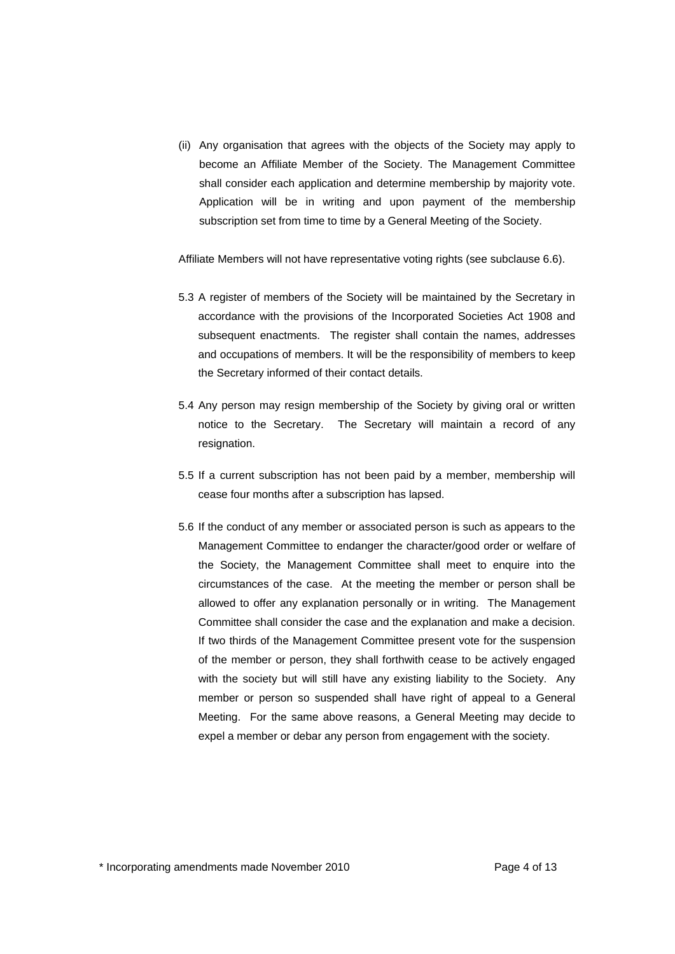(ii) Any organisation that agrees with the objects of the Society may apply to become an Affiliate Member of the Society. The Management Committee shall consider each application and determine membership by majority vote. Application will be in writing and upon payment of the membership subscription set from time to time by a General Meeting of the Society.

Affiliate Members will not have representative voting rights (see subclause 6.6).

- 5.3 A register of members of the Society will be maintained by the Secretary in accordance with the provisions of the Incorporated Societies Act 1908 and subsequent enactments. The register shall contain the names, addresses and occupations of members. It will be the responsibility of members to keep the Secretary informed of their contact details.
- 5.4 Any person may resign membership of the Society by giving oral or written notice to the Secretary. The Secretary will maintain a record of any resignation.
- 5.5 If a current subscription has not been paid by a member, membership will cease four months after a subscription has lapsed.
- 5.6 If the conduct of any member or associated person is such as appears to the Management Committee to endanger the character/good order or welfare of the Society, the Management Committee shall meet to enquire into the circumstances of the case. At the meeting the member or person shall be allowed to offer any explanation personally or in writing. The Management Committee shall consider the case and the explanation and make a decision. If two thirds of the Management Committee present vote for the suspension of the member or person, they shall forthwith cease to be actively engaged with the society but will still have any existing liability to the Society. Any member or person so suspended shall have right of appeal to a General Meeting. For the same above reasons, a General Meeting may decide to expel a member or debar any person from engagement with the society.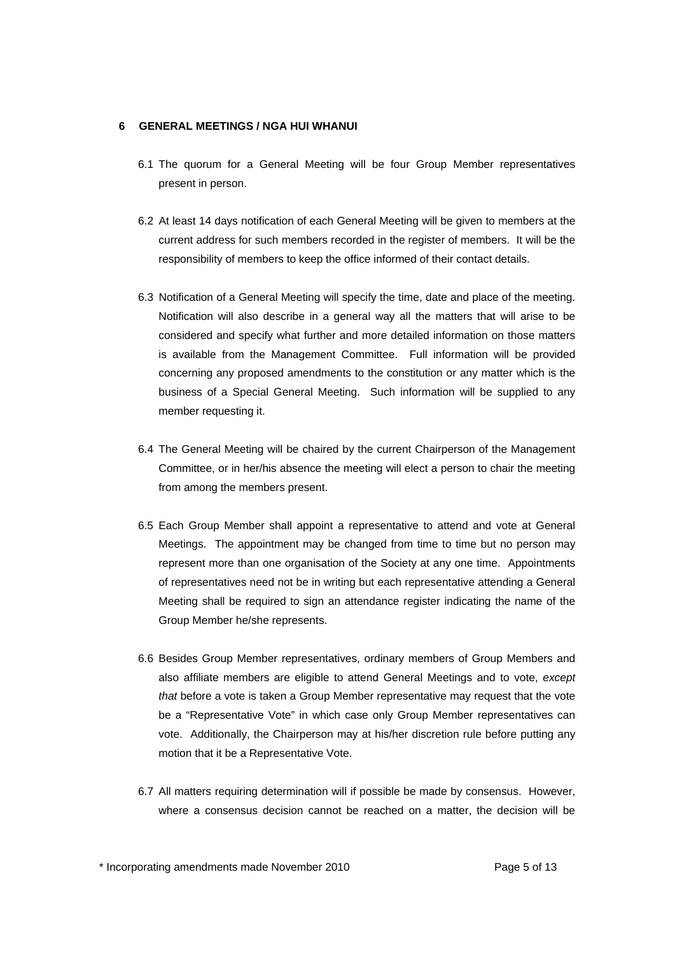#### **6 GENERAL MEETINGS / NGA HUI WHANUI**

- 6.1 The quorum for a General Meeting will be four Group Member representatives present in person.
- 6.2 At least 14 days notification of each General Meeting will be given to members at the current address for such members recorded in the register of members. It will be the responsibility of members to keep the office informed of their contact details.
- 6.3 Notification of a General Meeting will specify the time, date and place of the meeting. Notification will also describe in a general way all the matters that will arise to be considered and specify what further and more detailed information on those matters is available from the Management Committee. Full information will be provided concerning any proposed amendments to the constitution or any matter which is the business of a Special General Meeting. Such information will be supplied to any member requesting it.
- 6.4 The General Meeting will be chaired by the current Chairperson of the Management Committee, or in her/his absence the meeting will elect a person to chair the meeting from among the members present.
- 6.5 Each Group Member shall appoint a representative to attend and vote at General Meetings. The appointment may be changed from time to time but no person may represent more than one organisation of the Society at any one time. Appointments of representatives need not be in writing but each representative attending a General Meeting shall be required to sign an attendance register indicating the name of the Group Member he/she represents.
- 6.6 Besides Group Member representatives, ordinary members of Group Members and also affiliate members are eligible to attend General Meetings and to vote, *except that* before a vote is taken a Group Member representative may request that the vote be a "Representative Vote" in which case only Group Member representatives can vote. Additionally, the Chairperson may at his/her discretion rule before putting any motion that it be a Representative Vote.
- 6.7 All matters requiring determination will if possible be made by consensus. However, where a consensus decision cannot be reached on a matter, the decision will be

\* Incorporating amendments made November 2010 Page 5 of 13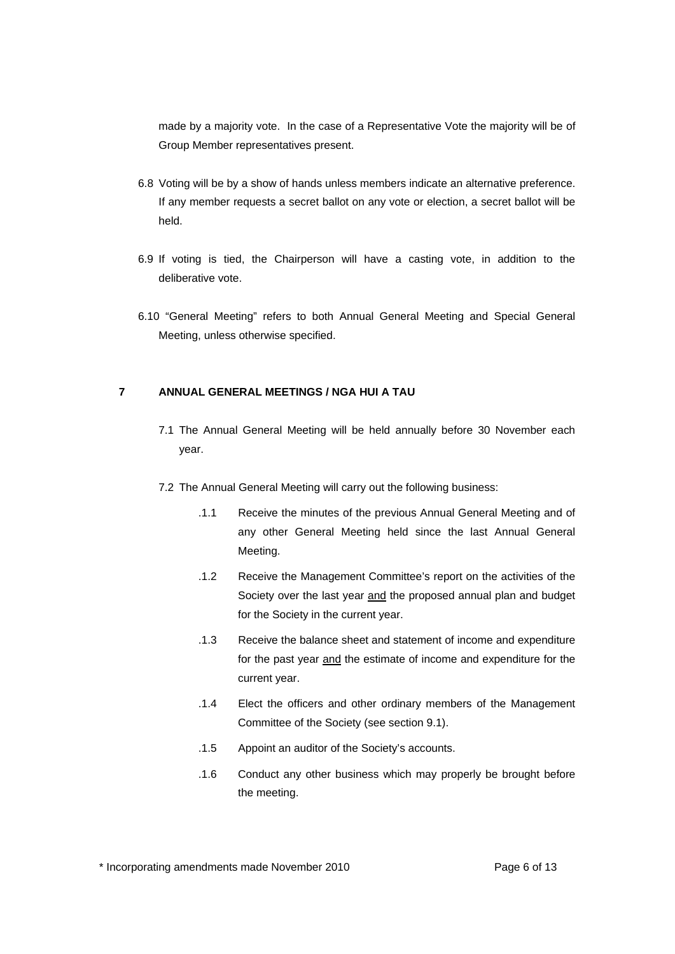made by a majority vote. In the case of a Representative Vote the majority will be of Group Member representatives present.

- 6.8 Voting will be by a show of hands unless members indicate an alternative preference. If any member requests a secret ballot on any vote or election, a secret ballot will be held.
- 6.9 If voting is tied, the Chairperson will have a casting vote, in addition to the deliberative vote.
- 6.10 "General Meeting" refers to both Annual General Meeting and Special General Meeting, unless otherwise specified.

### **7 ANNUAL GENERAL MEETINGS / NGA HUI A TAU**

- 7.1 The Annual General Meeting will be held annually before 30 November each year.
- 7.2 The Annual General Meeting will carry out the following business:
	- .1.1 Receive the minutes of the previous Annual General Meeting and of any other General Meeting held since the last Annual General Meeting.
	- .1.2 Receive the Management Committee's report on the activities of the Society over the last year and the proposed annual plan and budget for the Society in the current year.
	- .1.3 Receive the balance sheet and statement of income and expenditure for the past year and the estimate of income and expenditure for the current year.
	- .1.4 Elect the officers and other ordinary members of the Management Committee of the Society (see section 9.1).
	- .1.5 Appoint an auditor of the Society's accounts.
	- .1.6 Conduct any other business which may properly be brought before the meeting.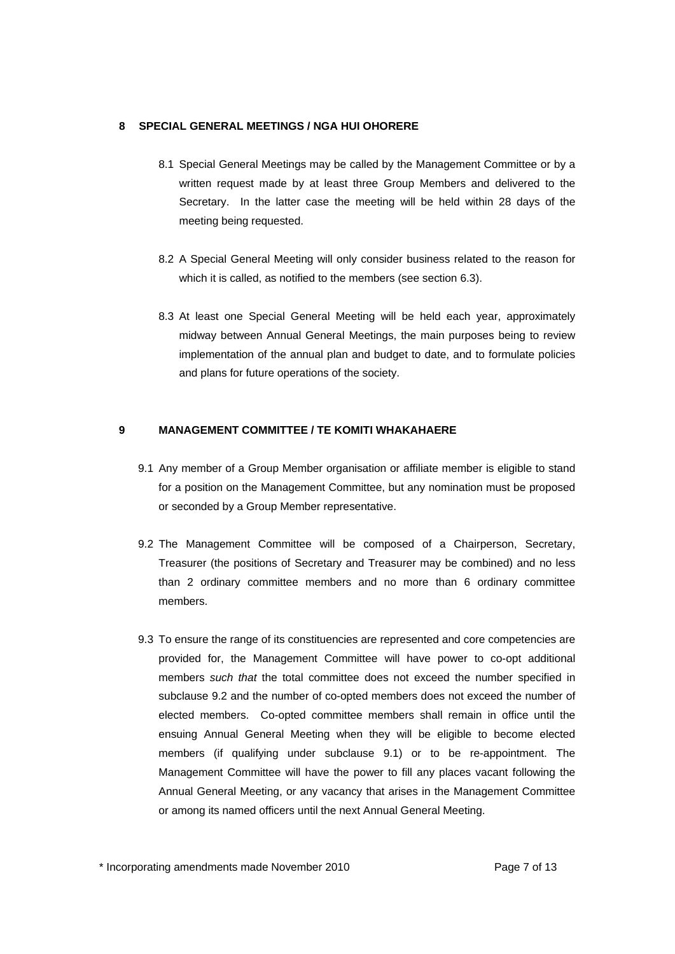#### **8 SPECIAL GENERAL MEETINGS / NGA HUI OHORERE**

- 8.1 Special General Meetings may be called by the Management Committee or by a written request made by at least three Group Members and delivered to the Secretary. In the latter case the meeting will be held within 28 days of the meeting being requested.
- 8.2 A Special General Meeting will only consider business related to the reason for which it is called, as notified to the members (see section 6.3).
- 8.3 At least one Special General Meeting will be held each year, approximately midway between Annual General Meetings, the main purposes being to review implementation of the annual plan and budget to date, and to formulate policies and plans for future operations of the society.

#### **9 MANAGEMENT COMMITTEE / TE KOMITI WHAKAHAERE**

- 9.1 Any member of a Group Member organisation or affiliate member is eligible to stand for a position on the Management Committee, but any nomination must be proposed or seconded by a Group Member representative.
- 9.2 The Management Committee will be composed of a Chairperson, Secretary, Treasurer (the positions of Secretary and Treasurer may be combined) and no less than 2 ordinary committee members and no more than 6 ordinary committee members.
- 9.3 To ensure the range of its constituencies are represented and core competencies are provided for, the Management Committee will have power to co-opt additional members *such that* the total committee does not exceed the number specified in subclause 9.2 and the number of co-opted members does not exceed the number of elected members. Co-opted committee members shall remain in office until the ensuing Annual General Meeting when they will be eligible to become elected members (if qualifying under subclause 9.1) or to be re-appointment. The Management Committee will have the power to fill any places vacant following the Annual General Meeting, or any vacancy that arises in the Management Committee or among its named officers until the next Annual General Meeting.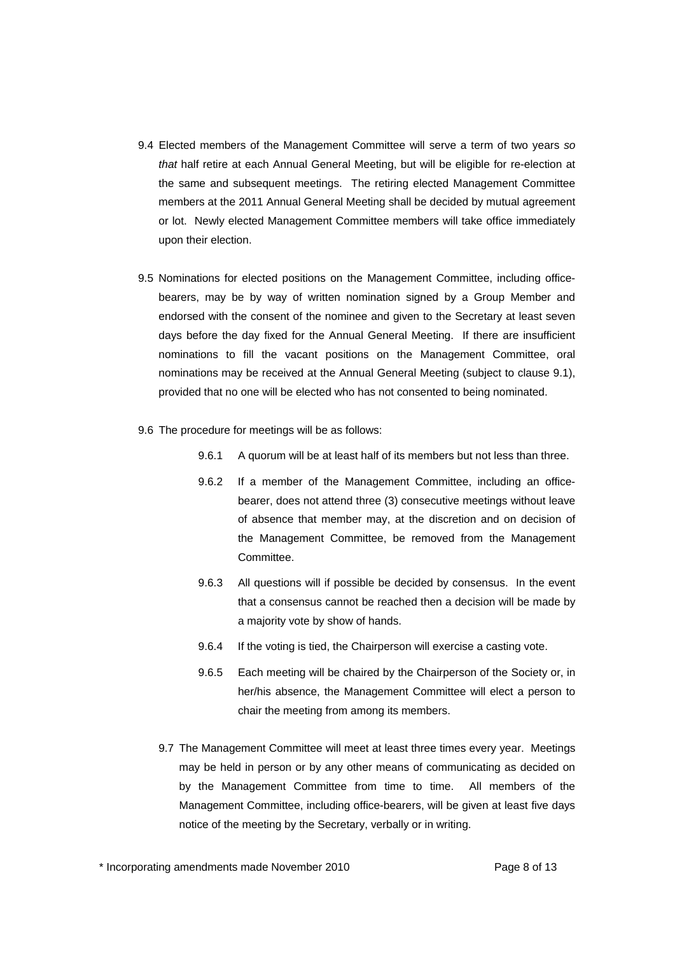- 9.4 Elected members of the Management Committee will serve a term of two years *so that* half retire at each Annual General Meeting, but will be eligible for re-election at the same and subsequent meetings. The retiring elected Management Committee members at the 2011 Annual General Meeting shall be decided by mutual agreement or lot. Newly elected Management Committee members will take office immediately upon their election.
- 9.5 Nominations for elected positions on the Management Committee, including officebearers, may be by way of written nomination signed by a Group Member and endorsed with the consent of the nominee and given to the Secretary at least seven days before the day fixed for the Annual General Meeting. If there are insufficient nominations to fill the vacant positions on the Management Committee, oral nominations may be received at the Annual General Meeting (subject to clause 9.1), provided that no one will be elected who has not consented to being nominated.
- 9.6 The procedure for meetings will be as follows:
	- 9.6.1 A quorum will be at least half of its members but not less than three.
	- 9.6.2 If a member of the Management Committee, including an officebearer, does not attend three (3) consecutive meetings without leave of absence that member may, at the discretion and on decision of the Management Committee, be removed from the Management **Committee.**
	- 9.6.3 All questions will if possible be decided by consensus. In the event that a consensus cannot be reached then a decision will be made by a majority vote by show of hands.
	- 9.6.4 If the voting is tied, the Chairperson will exercise a casting vote.
	- 9.6.5 Each meeting will be chaired by the Chairperson of the Society or, in her/his absence, the Management Committee will elect a person to chair the meeting from among its members.
	- 9.7 The Management Committee will meet at least three times every year. Meetings may be held in person or by any other means of communicating as decided on by the Management Committee from time to time. All members of the Management Committee, including office-bearers, will be given at least five days notice of the meeting by the Secretary, verbally or in writing.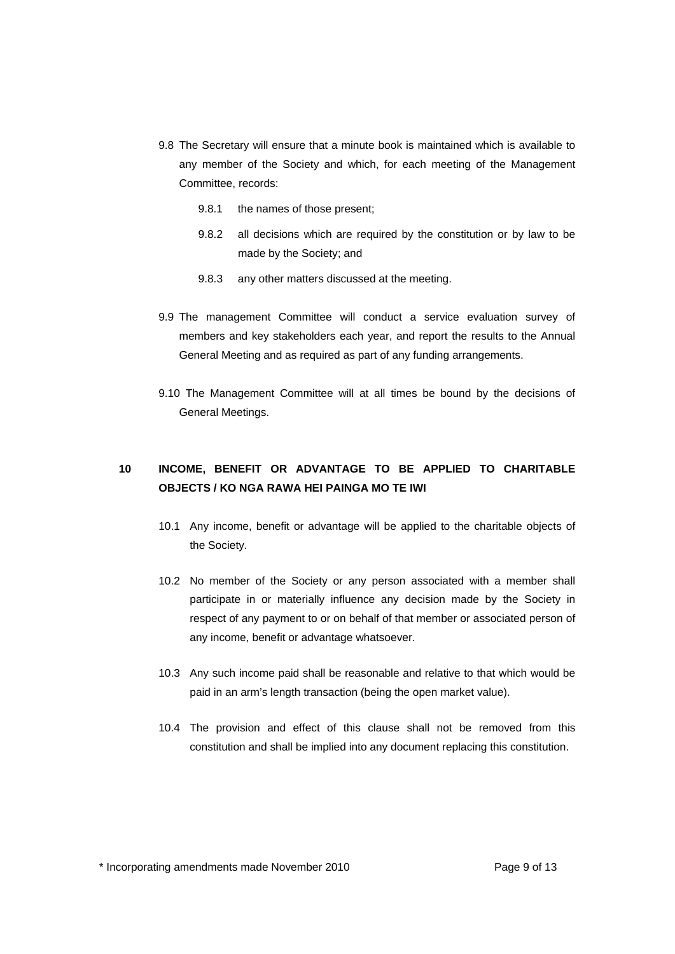- 9.8 The Secretary will ensure that a minute book is maintained which is available to any member of the Society and which, for each meeting of the Management Committee, records:
	- 9.8.1 the names of those present;
	- 9.8.2 all decisions which are required by the constitution or by law to be made by the Society; and
	- 9.8.3 any other matters discussed at the meeting.
- 9.9 The management Committee will conduct a service evaluation survey of members and key stakeholders each year, and report the results to the Annual General Meeting and as required as part of any funding arrangements.
- 9.10 The Management Committee will at all times be bound by the decisions of General Meetings.

# **10 INCOME, BENEFIT OR ADVANTAGE TO BE APPLIED TO CHARITABLE OBJECTS / KO NGA RAWA HEI PAINGA MO TE IWI**

- 10.1 Any income, benefit or advantage will be applied to the charitable objects of the Society.
- 10.2 No member of the Society or any person associated with a member shall participate in or materially influence any decision made by the Society in respect of any payment to or on behalf of that member or associated person of any income, benefit or advantage whatsoever.
- 10.3 Any such income paid shall be reasonable and relative to that which would be paid in an arm's length transaction (being the open market value).
- 10.4 The provision and effect of this clause shall not be removed from this constitution and shall be implied into any document replacing this constitution.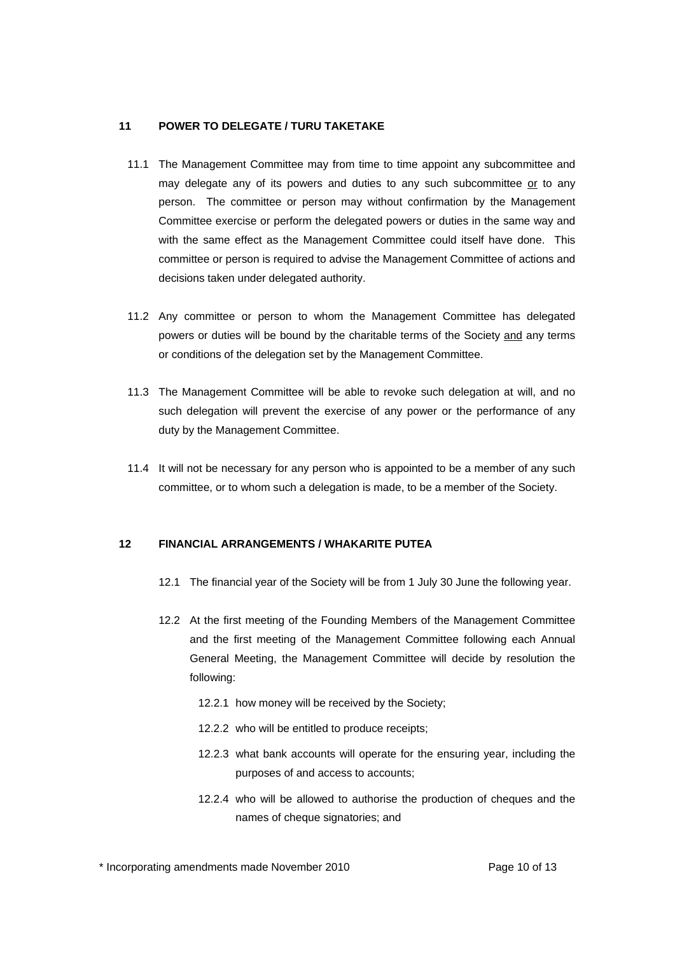#### **11 POWER TO DELEGATE / TURU TAKETAKE**

- 11.1 The Management Committee may from time to time appoint any subcommittee and may delegate any of its powers and duties to any such subcommittee or to any person. The committee or person may without confirmation by the Management Committee exercise or perform the delegated powers or duties in the same way and with the same effect as the Management Committee could itself have done. This committee or person is required to advise the Management Committee of actions and decisions taken under delegated authority.
- 11.2 Any committee or person to whom the Management Committee has delegated powers or duties will be bound by the charitable terms of the Society and any terms or conditions of the delegation set by the Management Committee.
- 11.3 The Management Committee will be able to revoke such delegation at will, and no such delegation will prevent the exercise of any power or the performance of any duty by the Management Committee.
- 11.4 It will not be necessary for any person who is appointed to be a member of any such committee, or to whom such a delegation is made, to be a member of the Society.

#### **12 FINANCIAL ARRANGEMENTS / WHAKARITE PUTEA**

- 12.1 The financial year of the Society will be from 1 July 30 June the following year.
- 12.2 At the first meeting of the Founding Members of the Management Committee and the first meeting of the Management Committee following each Annual General Meeting, the Management Committee will decide by resolution the following:
	- 12.2.1 how money will be received by the Society;
	- 12.2.2 who will be entitled to produce receipts;
	- 12.2.3 what bank accounts will operate for the ensuring year, including the purposes of and access to accounts;
	- 12.2.4 who will be allowed to authorise the production of cheques and the names of cheque signatories; and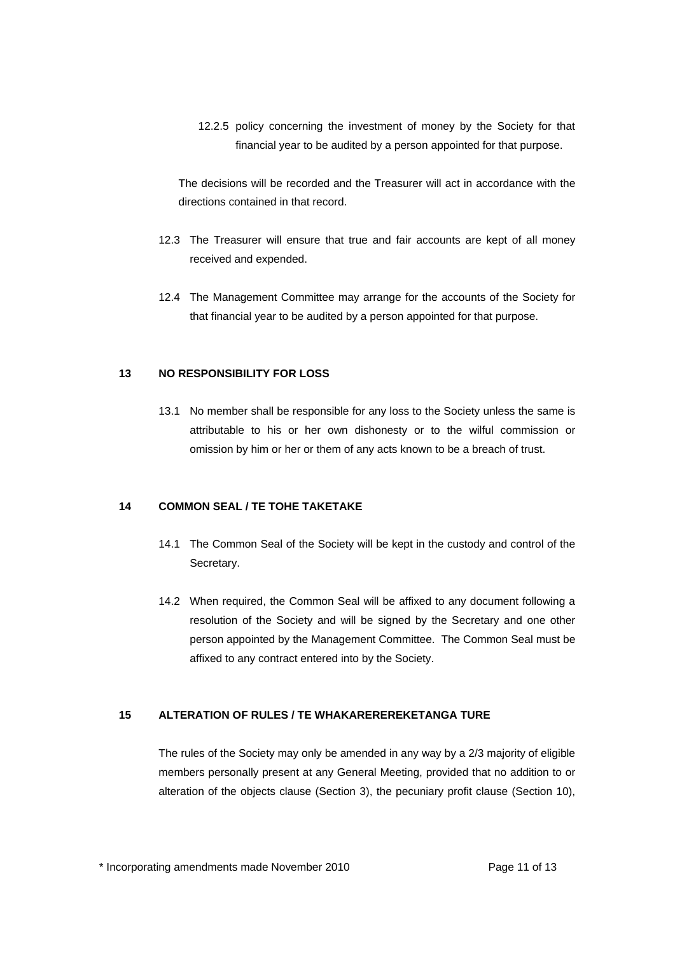12.2.5 policy concerning the investment of money by the Society for that financial year to be audited by a person appointed for that purpose.

The decisions will be recorded and the Treasurer will act in accordance with the directions contained in that record.

- 12.3 The Treasurer will ensure that true and fair accounts are kept of all money received and expended.
- 12.4 The Management Committee may arrange for the accounts of the Society for that financial year to be audited by a person appointed for that purpose.

#### **13 NO RESPONSIBILITY FOR LOSS**

13.1 No member shall be responsible for any loss to the Society unless the same is attributable to his or her own dishonesty or to the wilful commission or omission by him or her or them of any acts known to be a breach of trust.

## **14 COMMON SEAL / TE TOHE TAKETAKE**

- 14.1 The Common Seal of the Society will be kept in the custody and control of the Secretary.
- 14.2 When required, the Common Seal will be affixed to any document following a resolution of the Society and will be signed by the Secretary and one other person appointed by the Management Committee. The Common Seal must be affixed to any contract entered into by the Society.

#### **15 ALTERATION OF RULES / TE WHAKAREREREKETANGA TURE**

The rules of the Society may only be amended in any way by a 2/3 majority of eligible members personally present at any General Meeting, provided that no addition to or alteration of the objects clause (Section 3), the pecuniary profit clause (Section 10),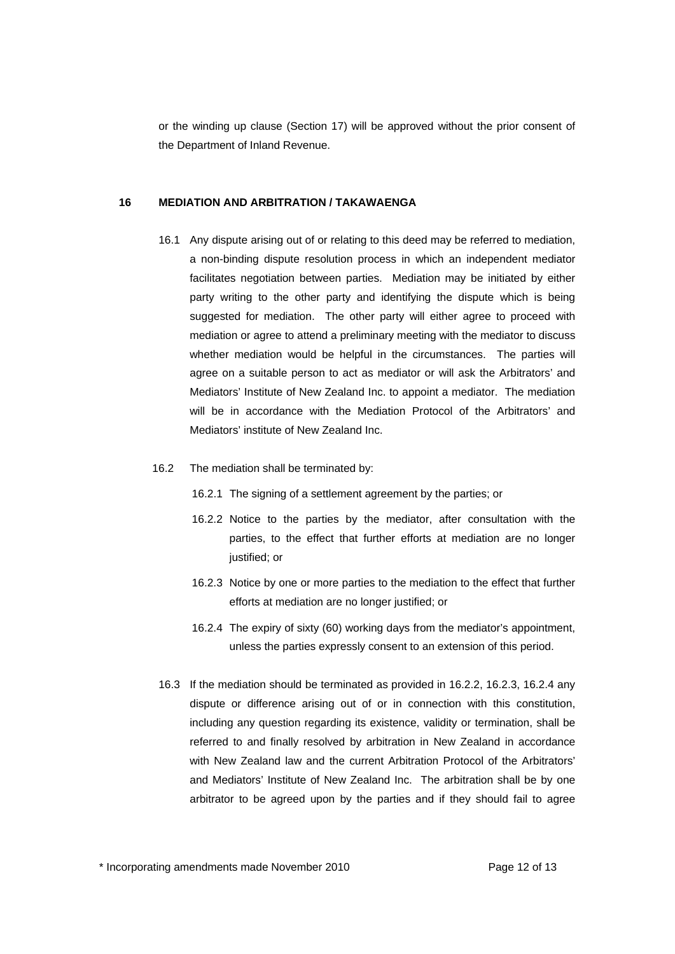or the winding up clause (Section 17) will be approved without the prior consent of the Department of Inland Revenue.

#### **16 MEDIATION AND ARBITRATION / TAKAWAENGA**

- 16.1 Any dispute arising out of or relating to this deed may be referred to mediation, a non-binding dispute resolution process in which an independent mediator facilitates negotiation between parties. Mediation may be initiated by either party writing to the other party and identifying the dispute which is being suggested for mediation. The other party will either agree to proceed with mediation or agree to attend a preliminary meeting with the mediator to discuss whether mediation would be helpful in the circumstances. The parties will agree on a suitable person to act as mediator or will ask the Arbitrators' and Mediators' Institute of New Zealand Inc. to appoint a mediator. The mediation will be in accordance with the Mediation Protocol of the Arbitrators' and Mediators' institute of New Zealand Inc.
- 16.2 The mediation shall be terminated by:
	- 16.2.1 The signing of a settlement agreement by the parties; or
	- 16.2.2 Notice to the parties by the mediator, after consultation with the parties, to the effect that further efforts at mediation are no longer justified; or
	- 16.2.3 Notice by one or more parties to the mediation to the effect that further efforts at mediation are no longer justified; or
	- 16.2.4 The expiry of sixty (60) working days from the mediator's appointment, unless the parties expressly consent to an extension of this period.
- 16.3 If the mediation should be terminated as provided in 16.2.2, 16.2.3, 16.2.4 any dispute or difference arising out of or in connection with this constitution, including any question regarding its existence, validity or termination, shall be referred to and finally resolved by arbitration in New Zealand in accordance with New Zealand law and the current Arbitration Protocol of the Arbitrators' and Mediators' Institute of New Zealand Inc. The arbitration shall be by one arbitrator to be agreed upon by the parties and if they should fail to agree